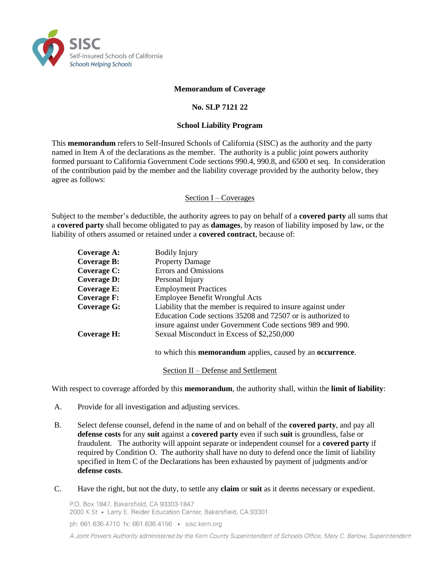

#### **Memorandum of Coverage**

#### **No. SLP 7121 22**

#### **School Liability Program**

This **memorandum** refers to Self-Insured Schools of California (SISC) as the authority and the party named in Item A of the declarations as the member. The authority is a public joint powers authority formed pursuant to California Government Code sections 990.4, 990.8, and 6500 et seq. In consideration of the contribution paid by the member and the liability coverage provided by the authority below, they agree as follows:

#### Section I – Coverages

Subject to the member's deductible, the authority agrees to pay on behalf of a **covered party** all sums that a **covered party** shall become obligated to pay as **damages**, by reason of liability imposed by law, or the liability of others assumed or retained under a **covered contract**, because of:

| Coverage A:        | <b>Bodily Injury</b>                                                                                                                                                                       |
|--------------------|--------------------------------------------------------------------------------------------------------------------------------------------------------------------------------------------|
| <b>Coverage B:</b> | <b>Property Damage</b>                                                                                                                                                                     |
| Coverage C:        | <b>Errors and Omissions</b>                                                                                                                                                                |
| <b>Coverage D:</b> | Personal Injury                                                                                                                                                                            |
| <b>Coverage E:</b> | <b>Employment Practices</b>                                                                                                                                                                |
| <b>Coverage F:</b> | Employee Benefit Wrongful Acts                                                                                                                                                             |
| <b>Coverage G:</b> | Liability that the member is required to insure against under<br>Education Code sections 35208 and 72507 or is authorized to<br>insure against under Government Code sections 989 and 990. |
| Coverage H:        | Sexual Misconduct in Excess of \$2,250,000                                                                                                                                                 |
|                    |                                                                                                                                                                                            |

to which this **memorandum** applies, caused by an **occurrence**.

#### Section II – Defense and Settlement

With respect to coverage afforded by this **memorandum**, the authority shall, within the **limit of liability**:

- A. Provide for all investigation and adjusting services.
- B. Select defense counsel, defend in the name of and on behalf of the **covered party**, and pay all **defense costs** for any **suit** against a **covered party** even if such **suit** is groundless, false or fraudulent. The authority will appoint separate or independent counsel for a **covered party** if required by Condition O. The authority shall have no duty to defend once the limit of liability specified in Item C of the Declarations has been exhausted by payment of judgments and/or **defense costs**.
- C. Have the right, but not the duty, to settle any **claim** or **suit** as it deems necessary or expedient.

P.O. Box 1847, Bakersfield, CA 93303-1847 2000 K St · Larry E. Reider Education Center, Bakersfield, CA 93301

ph: 661.636.4710 fx: 661.636.4156 · sisc.kern.org

A Joint Powers Authority administered by the Kern County Superintendent of Schools Office, Mary C. Barlow, Superintendent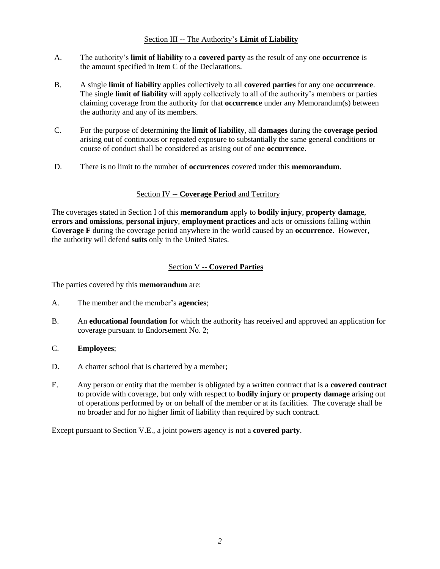### Section III -- The Authority's **Limit of Liability**

- A. The authority's **limit of liability** to a **covered party** as the result of any one **occurrence** is the amount specified in Item C of the Declarations.
- B. A single **limit of liability** applies collectively to all **covered parties** for any one **occurrence**. The single **limit of liability** will apply collectively to all of the authority's members or parties claiming coverage from the authority for that **occurrence** under any Memorandum(s) between the authority and any of its members.
- C. For the purpose of determining the **limit of liability**, all **damages** during the **coverage period**  arising out of continuous or repeated exposure to substantially the same general conditions or course of conduct shall be considered as arising out of one **occurrence**.
- D. There is no limit to the number of **occurrences** covered under this **memorandum**.

### Section IV -- **Coverage Period** and Territory

The coverages stated in Section I of this **memorandum** apply to **bodily injury**, **property damage**, **errors and omissions**, **personal injury**, **employment practices** and acts or omissions falling within **Coverage F** during the coverage period anywhere in the world caused by an **occurrence**. However, the authority will defend **suits** only in the United States.

### Section V -- **Covered Parties**

The parties covered by this **memorandum** are:

- A. The member and the member's **agencies**;
- B. An **educational foundation** for which the authority has received and approved an application for coverage pursuant to Endorsement No. 2;
- C. **Employees**;
- D. A charter school that is chartered by a member;
- E. Any person or entity that the member is obligated by a written contract that is a **covered contract** to provide with coverage, but only with respect to **bodily injury** or **property damage** arising out of operations performed by or on behalf of the member or at its facilities. The coverage shall be no broader and for no higher limit of liability than required by such contract.

Except pursuant to Section V.E., a joint powers agency is not a **covered party**.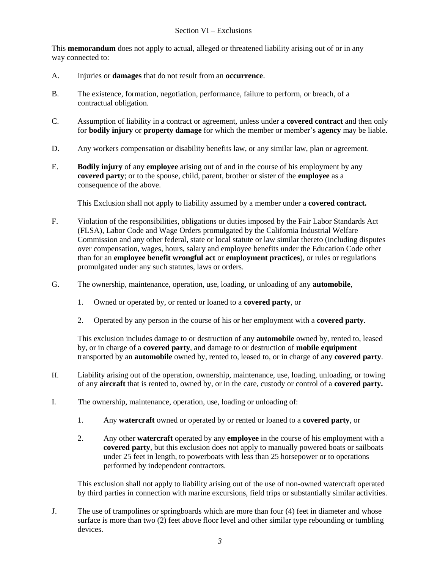### Section VI – Exclusions

This **memorandum** does not apply to actual, alleged or threatened liability arising out of or in any way connected to:

- A. Injuries or **damages** that do not result from an **occurrence**.
- B. The existence, formation, negotiation, performance, failure to perform, or breach, of a contractual obligation.
- C. Assumption of liability in a contract or agreement, unless under a **covered contract** and then only for **bodily injury** or **property damage** for which the member or member's **agency** may be liable.
- D. Any workers compensation or disability benefits law, or any similar law, plan or agreement.
- E. **Bodily injury** of any **employee** arising out of and in the course of his employment by any **covered party**; or to the spouse, child, parent, brother or sister of the **employee** as a consequence of the above.

This Exclusion shall not apply to liability assumed by a member under a **covered contract.**

- F. Violation of the responsibilities, obligations or duties imposed by the Fair Labor Standards Act (FLSA), Labor Code and Wage Orders promulgated by the California Industrial Welfare Commission and any other federal, state or local statute or law similar thereto (including disputes over compensation, wages, hours, salary and employee benefits under the Education Code other than for an **employee benefit wrongful act** or **employment practices**), or rules or regulations promulgated under any such statutes, laws or orders.
- G. The ownership, maintenance, operation, use, loading, or unloading of any **automobile**,
	- 1. Owned or operated by, or rented or loaned to a **covered party**, or
	- 2. Operated by any person in the course of his or her employment with a **covered party**.

This exclusion includes damage to or destruction of any **automobile** owned by, rented to, leased by, or in charge of a **covered party**, and damage to or destruction of **mobile equipment** transported by an **automobile** owned by, rented to, leased to, or in charge of any **covered party**.

- H. Liability arising out of the operation, ownership, maintenance, use, loading, unloading, or towing of any **aircraft** that is rented to, owned by, or in the care, custody or control of a **covered party.**
- I. The ownership, maintenance, operation, use, loading or unloading of:
	- 1. Any **watercraft** owned or operated by or rented or loaned to a **covered party**, or
	- 2. Any other **watercraft** operated by any **employee** in the course of his employment with a **covered party**, but this exclusion does not apply to manually powered boats or sailboats under 25 feet in length, to powerboats with less than 25 horsepower or to operations performed by independent contractors.

This exclusion shall not apply to liability arising out of the use of non-owned watercraft operated by third parties in connection with marine excursions, field trips or substantially similar activities.

J. The use of trampolines or springboards which are more than four (4) feet in diameter and whose surface is more than two  $(2)$  feet above floor level and other similar type rebounding or tumbling devices.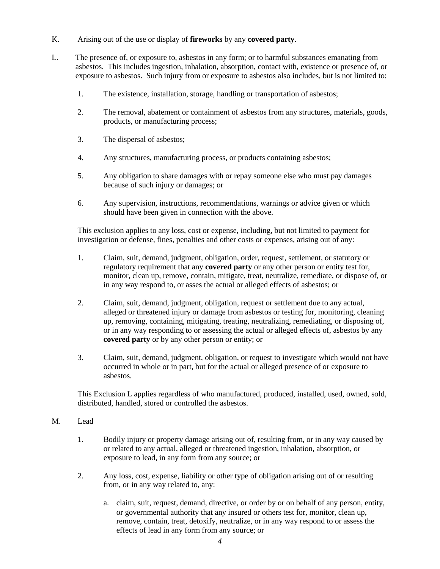- K. Arising out of the use or display of **fireworks** by any **covered party**.
- L. The presence of, or exposure to, asbestos in any form; or to harmful substances emanating from asbestos. This includes ingestion, inhalation, absorption, contact with, existence or presence of, or exposure to asbestos. Such injury from or exposure to asbestos also includes, but is not limited to:
	- 1. The existence, installation, storage, handling or transportation of asbestos;
	- 2. The removal, abatement or containment of asbestos from any structures, materials, goods, products, or manufacturing process;
	- 3. The dispersal of asbestos;
	- 4. Any structures, manufacturing process, or products containing asbestos;
	- 5. Any obligation to share damages with or repay someone else who must pay damages because of such injury or damages; or
	- 6. Any supervision, instructions, recommendations, warnings or advice given or which should have been given in connection with the above.

This exclusion applies to any loss, cost or expense, including, but not limited to payment for investigation or defense, fines, penalties and other costs or expenses, arising out of any:

- 1. Claim, suit, demand, judgment, obligation, order, request, settlement, or statutory or regulatory requirement that any **covered party** or any other person or entity test for, monitor, clean up, remove, contain, mitigate, treat, neutralize, remediate, or dispose of, or in any way respond to, or asses the actual or alleged effects of asbestos; or
- 2. Claim, suit, demand, judgment, obligation, request or settlement due to any actual, alleged or threatened injury or damage from asbestos or testing for, monitoring, cleaning up, removing, containing, mitigating, treating, neutralizing, remediating, or disposing of, or in any way responding to or assessing the actual or alleged effects of, asbestos by any **covered party** or by any other person or entity; or
- 3. Claim, suit, demand, judgment, obligation, or request to investigate which would not have occurred in whole or in part, but for the actual or alleged presence of or exposure to asbestos.

This Exclusion L applies regardless of who manufactured, produced, installed, used, owned, sold, distributed, handled, stored or controlled the asbestos.

- M. Lead
	- 1. Bodily injury or property damage arising out of, resulting from, or in any way caused by or related to any actual, alleged or threatened ingestion, inhalation, absorption, or exposure to lead, in any form from any source; or
	- 2. Any loss, cost, expense, liability or other type of obligation arising out of or resulting from, or in any way related to, any:
		- a. claim, suit, request, demand, directive, or order by or on behalf of any person, entity, or governmental authority that any insured or others test for, monitor, clean up, remove, contain, treat, detoxify, neutralize, or in any way respond to or assess the effects of lead in any form from any source; or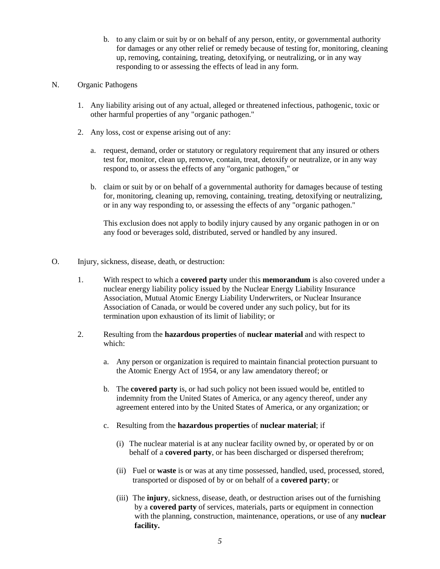b. to any claim or suit by or on behalf of any person, entity, or governmental authority for damages or any other relief or remedy because of testing for, monitoring, cleaning up, removing, containing, treating, detoxifying, or neutralizing, or in any way responding to or assessing the effects of lead in any form.

### N. Organic Pathogens

- 1. Any liability arising out of any actual, alleged or threatened infectious, pathogenic, toxic or other harmful properties of any "organic pathogen."
- 2. Any loss, cost or expense arising out of any:
	- a. request, demand, order or statutory or regulatory requirement that any insured or others test for, monitor, clean up, remove, contain, treat, detoxify or neutralize, or in any way respond to, or assess the effects of any "organic pathogen," or
	- b. claim or suit by or on behalf of a governmental authority for damages because of testing for, monitoring, cleaning up, removing, containing, treating, detoxifying or neutralizing, or in any way responding to, or assessing the effects of any "organic pathogen."

This exclusion does not apply to bodily injury caused by any organic pathogen in or on any food or beverages sold, distributed, served or handled by any insured.

- O. Injury, sickness, disease, death, or destruction:
	- 1. With respect to which a **covered party** under this **memorandum** is also covered under a nuclear energy liability policy issued by the Nuclear Energy Liability Insurance Association, Mutual Atomic Energy Liability Underwriters, or Nuclear Insurance Association of Canada, or would be covered under any such policy, but for its termination upon exhaustion of its limit of liability; or
	- 2. Resulting from the **hazardous properties** of **nuclear material** and with respect to which:
		- a. Any person or organization is required to maintain financial protection pursuant to the Atomic Energy Act of 1954, or any law amendatory thereof; or
		- b. The **covered party** is, or had such policy not been issued would be, entitled to indemnity from the United States of America, or any agency thereof, under any agreement entered into by the United States of America, or any organization; or
		- c. Resulting from the **hazardous properties** of **nuclear material**; if
			- (i) The nuclear material is at any nuclear facility owned by, or operated by or on behalf of a **covered party**, or has been discharged or dispersed therefrom;
			- (ii) Fuel or **waste** is or was at any time possessed, handled, used, processed, stored, transported or disposed of by or on behalf of a **covered party**; or
			- (iii) The **injury**, sickness, disease, death, or destruction arises out of the furnishing by a **covered party** of services, materials, parts or equipment in connection with the planning, construction, maintenance, operations, or use of any **nuclear facility.**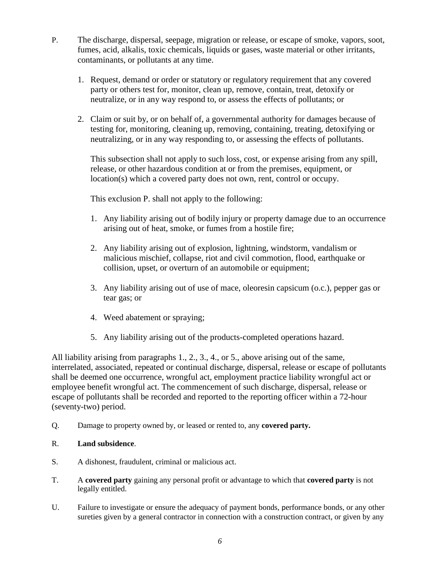- P. The discharge, dispersal, seepage, migration or release, or escape of smoke, vapors, soot, fumes, acid, alkalis, toxic chemicals, liquids or gases, waste material or other irritants, contaminants, or pollutants at any time.
	- 1. Request, demand or order or statutory or regulatory requirement that any covered party or others test for, monitor, clean up, remove, contain, treat, detoxify or neutralize, or in any way respond to, or assess the effects of pollutants; or
	- 2. Claim or suit by, or on behalf of, a governmental authority for damages because of testing for, monitoring, cleaning up, removing, containing, treating, detoxifying or neutralizing, or in any way responding to, or assessing the effects of pollutants.

This subsection shall not apply to such loss, cost, or expense arising from any spill, release, or other hazardous condition at or from the premises, equipment, or location(s) which a covered party does not own, rent, control or occupy.

This exclusion P. shall not apply to the following:

- 1. Any liability arising out of bodily injury or property damage due to an occurrence arising out of heat, smoke, or fumes from a hostile fire;
- 2. Any liability arising out of explosion, lightning, windstorm, vandalism or malicious mischief, collapse, riot and civil commotion, flood, earthquake or collision, upset, or overturn of an automobile or equipment;
- 3. Any liability arising out of use of mace, oleoresin capsicum (o.c.), pepper gas or tear gas; or
- 4. Weed abatement or spraying;
- 5. Any liability arising out of the products-completed operations hazard.

All liability arising from paragraphs 1., 2., 3., 4., or 5., above arising out of the same, interrelated, associated, repeated or continual discharge, dispersal, release or escape of pollutants shall be deemed one occurrence, wrongful act, employment practice liability wrongful act or employee benefit wrongful act. The commencement of such discharge, dispersal, release or escape of pollutants shall be recorded and reported to the reporting officer within a 72-hour (seventy-two) period.

Q. Damage to property owned by, or leased or rented to, any **covered party.** 

### R. **Land subsidence**.

- S. A dishonest, fraudulent, criminal or malicious act.
- T. A **covered party** gaining any personal profit or advantage to which that **covered party** is not legally entitled.
- U. Failure to investigate or ensure the adequacy of payment bonds, performance bonds, or any other sureties given by a general contractor in connection with a construction contract, or given by any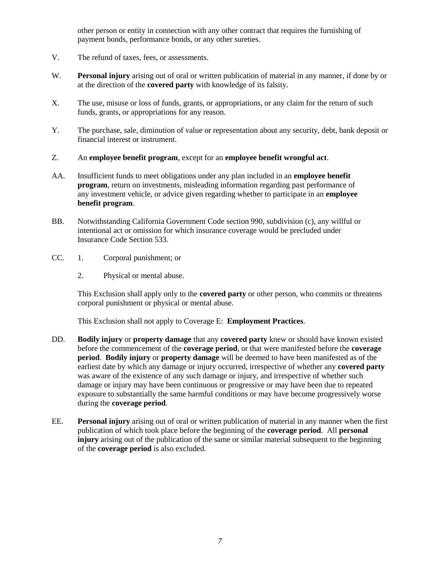other person or entity in connection with any other contract that requires the furnishing of payment bonds, performance bonds, or any other sureties.

- V. The refund of taxes, fees, or assessments.
- W. **Personal injury** arising out of oral or written publication of material in any manner, if done by or at the direction of the **covered party** with knowledge of its falsity.
- X. The use, misuse or loss of funds, grants, or appropriations, or any claim for the return of such funds, grants, or appropriations for any reason.
- Y. The purchase, sale, diminution of value or representation about any security, debt, bank deposit or financial interest or instrument.

### Z. An **employee benefit program**, except for an **employee benefit wrongful act**.

- AA. Insufficient funds to meet obligations under any plan included in an **employee benefit program**, return on investments, misleading information regarding past performance of any investment vehicle, or advice given regarding whether to participate in an **employee benefit program**.
- BB. Notwithstanding California Government Code section 990, subdivision (c), any willful or intentional act or omission for which insurance coverage would be precluded under Insurance Code Section 533.
- CC. 1. Corporal punishment; or
	- 2. Physical or mental abuse.

This Exclusion shall apply only to the **covered party** or other person, who commits or threatens corporal punishment or physical or mental abuse.

This Exclusion shall not apply to Coverage E: **Employment Practices**.

- DD. **Bodily injury** or **property damage** that any **covered party** knew or should have known existed before the commencement of the **coverage period**, or that were manifested before the **coverage period**. **Bodily injury** or **property damage** will be deemed to have been manifested as of the earliest date by which any damage or injury occurred, irrespective of whether any **covered party** was aware of the existence of any such damage or injury, and irrespective of whether such damage or injury may have been continuous or progressive or may have been due to repeated exposure to substantially the same harmful conditions or may have become progressively worse during the **coverage period**.
- EE. **Personal injury** arising out of oral or written publication of material in any manner when the first publication of which took place before the beginning of the **coverage period**. All **personal injury** arising out of the publication of the same or similar material subsequent to the beginning of the **coverage period** is also excluded.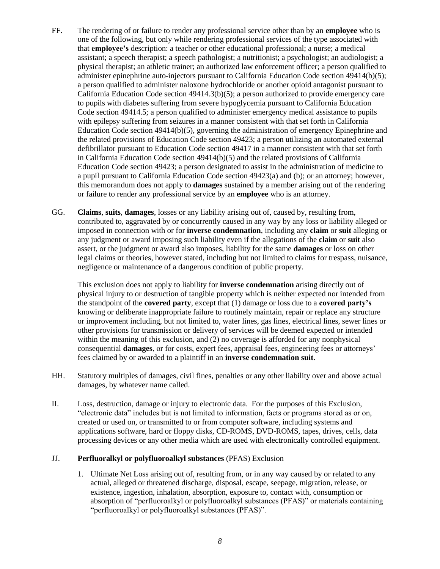- FF. The rendering of or failure to render any professional service other than by an **employee** who is one of the following, but only while rendering professional services of the type associated with that **employee's** description: a teacher or other educational professional; a nurse; a medical assistant; a speech therapist; a speech pathologist; a nutritionist; a psychologist; an audiologist; a physical therapist; an athletic trainer; an authorized law enforcement officer; a person qualified to administer epinephrine auto-injectors pursuant to California Education Code section 49414(b)(5); a person qualified to administer naloxone hydrochloride or another opioid antagonist pursuant to California Education Code section 49414.3(b)(5); a person authorized to provide emergency care to pupils with diabetes suffering from severe hypoglycemia pursuant to California Education Code section 49414.5; a person qualified to administer emergency medical assistance to pupils with epilepsy suffering from seizures in a manner consistent with that set forth in California Education Code section 49414(b)(5), governing the administration of emergency Epinephrine and the related provisions of Education Code section 49423; a person utilizing an automated external defibrillator pursuant to Education Code section 49417 in a manner consistent with that set forth in California Education Code section 49414(b)(5) and the related provisions of California Education Code section 49423; a person designated to assist in the administration of medicine to a pupil pursuant to California Education Code section 49423(a) and (b); or an attorney; however, this memorandum does not apply to **damages** sustained by a member arising out of the rendering or failure to render any professional service by an **employee** who is an attorney.
- GG. **Claims**, **suits**, **damages**, losses or any liability arising out of, caused by, resulting from, contributed to, aggravated by or concurrently caused in any way by any loss or liability alleged or imposed in connection with or for **inverse condemnation**, including any **claim** or **suit** alleging or any judgment or award imposing such liability even if the allegations of the **claim** or **suit** also assert, or the judgment or award also imposes, liability for the same **damages** or loss on other legal claims or theories, however stated, including but not limited to claims for trespass, nuisance, negligence or maintenance of a dangerous condition of public property.

This exclusion does not apply to liability for **inverse condemnation** arising directly out of physical injury to or destruction of tangible property which is neither expected nor intended from the standpoint of the **covered party**, except that (1) damage or loss due to a **covered party's**  knowing or deliberate inappropriate failure to routinely maintain, repair or replace any structure or improvement including, but not limited to, water lines, gas lines, electrical lines, sewer lines or other provisions for transmission or delivery of services will be deemed expected or intended within the meaning of this exclusion, and (2) no coverage is afforded for any nonphysical consequential **damages**, or for costs, expert fees, appraisal fees, engineering fees or attorneys' fees claimed by or awarded to a plaintiff in an **inverse condemnation suit**.

- HH. Statutory multiples of damages, civil fines, penalties or any other liability over and above actual damages, by whatever name called.
- II. Loss, destruction, damage or injury to electronic data. For the purposes of this Exclusion, "electronic data" includes but is not limited to information, facts or programs stored as or on, created or used on, or transmitted to or from computer software, including systems and applications software, hard or floppy disks, CD-ROMS, DVD-ROMS, tapes, drives, cells, data processing devices or any other media which are used with electronically controlled equipment.

### JJ. **Perfluoralkyl or polyfluoroalkyl substances** (PFAS) Exclusion

1. Ultimate Net Loss arising out of, resulting from, or in any way caused by or related to any actual, alleged or threatened discharge, disposal, escape, seepage, migration, release, or existence, ingestion, inhalation, absorption, exposure to, contact with, consumption or absorption of "perfluoroalkyl or polyfluoroalkyl substances (PFAS)" or materials containing "perfluoroalkyl or polyfluoroalkyl substances (PFAS)".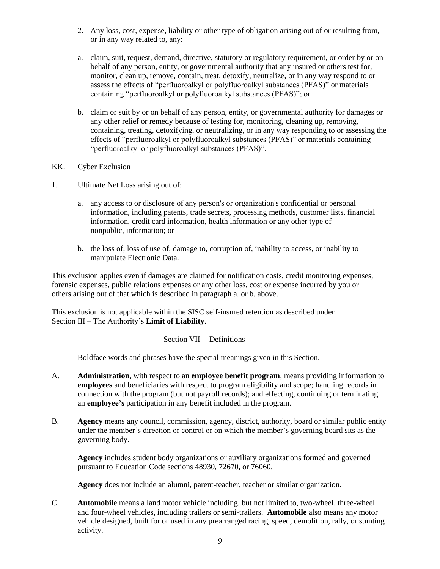- 2. Any loss, cost, expense, liability or other type of obligation arising out of or resulting from, or in any way related to, any:
- a. claim, suit, request, demand, directive, statutory or regulatory requirement, or order by or on behalf of any person, entity, or governmental authority that any insured or others test for, monitor, clean up, remove, contain, treat, detoxify, neutralize, or in any way respond to or assess the effects of "perfluoroalkyl or polyfluoroalkyl substances (PFAS)" or materials containing "perfluoroalkyl or polyfluoroalkyl substances (PFAS)"; or
- b. claim or suit by or on behalf of any person, entity, or governmental authority for damages or any other relief or remedy because of testing for, monitoring, cleaning up, removing, containing, treating, detoxifying, or neutralizing, or in any way responding to or assessing the effects of "perfluoroalkyl or polyfluoroalkyl substances (PFAS)" or materials containing "perfluoroalkyl or polyfluoroalkyl substances (PFAS)".
- KK. Cyber Exclusion
- 1. Ultimate Net Loss arising out of:
	- a. any access to or disclosure of any person's or organization's confidential or personal information, including patents, trade secrets, processing methods, customer lists, financial information, credit card information, health information or any other type of nonpublic, information; or
	- b. the loss of, loss of use of, damage to, corruption of, inability to access, or inability to manipulate Electronic Data.

This exclusion applies even if damages are claimed for notification costs, credit monitoring expenses, forensic expenses, public relations expenses or any other loss, cost or expense incurred by you or others arising out of that which is described in paragraph a. or b. above.

This exclusion is not applicable within the SISC self-insured retention as described under Section III – The Authority's **Limit of Liability**.

### Section VII -- Definitions

Boldface words and phrases have the special meanings given in this Section.

- A. **Administration**, with respect to an **employee benefit program**, means providing information to **employees** and beneficiaries with respect to program eligibility and scope; handling records in connection with the program (but not payroll records); and effecting, continuing or terminating an **employee's** participation in any benefit included in the program.
- B. **Agency** means any council, commission, agency, district, authority, board or similar public entity under the member's direction or control or on which the member's governing board sits as the governing body.

**Agency** includes student body organizations or auxiliary organizations formed and governed pursuant to Education Code sections 48930, 72670, or 76060.

**Agency** does not include an alumni, parent-teacher, teacher or similar organization.

C. **Automobile** means a land motor vehicle including, but not limited to, two-wheel, three-wheel and four-wheel vehicles, including trailers or semi-trailers. **Automobile** also means any motor vehicle designed, built for or used in any prearranged racing, speed, demolition, rally, or stunting activity.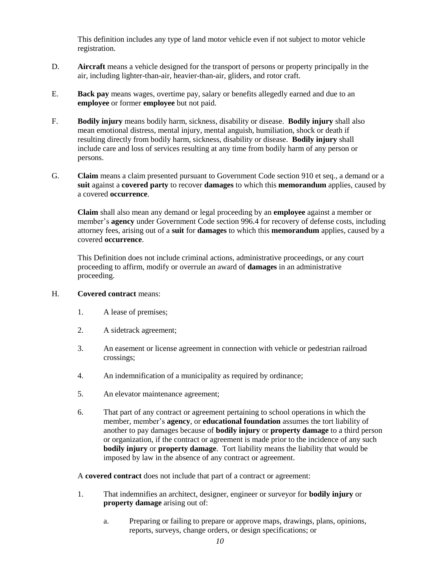This definition includes any type of land motor vehicle even if not subject to motor vehicle registration.

- D. **Aircraft** means a vehicle designed for the transport of persons or property principally in the air, including lighter-than-air, heavier-than-air, gliders, and rotor craft.
- E. **Back pay** means wages, overtime pay, salary or benefits allegedly earned and due to an **employee** or former **employee** but not paid.
- F. **Bodily injury** means bodily harm, sickness, disability or disease. **Bodily injury** shall also mean emotional distress, mental injury, mental anguish, humiliation, shock or death if resulting directly from bodily harm, sickness, disability or disease. **Bodily injury** shall include care and loss of services resulting at any time from bodily harm of any person or persons.
- G. **Claim** means a claim presented pursuant to Government Code section 910 et seq., a demand or a **suit** against a **covered party** to recover **damages** to which this **memorandum** applies, caused by a covered **occurrence**.

**Claim** shall also mean any demand or legal proceeding by an **employee** against a member or member's **agency** under Government Code section 996.4 for recovery of defense costs, including attorney fees, arising out of a **suit** for **damages** to which this **memorandum** applies, caused by a covered **occurrence**.

This Definition does not include criminal actions, administrative proceedings, or any court proceeding to affirm, modify or overrule an award of **damages** in an administrative proceeding.

#### H. **Covered contract** means:

- 1. A lease of premises;
- 2. A sidetrack agreement;
- 3. An easement or license agreement in connection with vehicle or pedestrian railroad crossings;
- 4. An indemnification of a municipality as required by ordinance;
- 5. An elevator maintenance agreement;
- 6. That part of any contract or agreement pertaining to school operations in which the member, member's **agency**, or **educational foundation** assumes the tort liability of another to pay damages because of **bodily injury** or **property damage** to a third person or organization, if the contract or agreement is made prior to the incidence of any such **bodily injury** or **property damage**. Tort liability means the liability that would be imposed by law in the absence of any contract or agreement.

A **covered contract** does not include that part of a contract or agreement:

- 1. That indemnifies an architect, designer, engineer or surveyor for **bodily injury** or **property damage** arising out of:
	- a. Preparing or failing to prepare or approve maps, drawings, plans, opinions, reports, surveys, change orders, or design specifications; or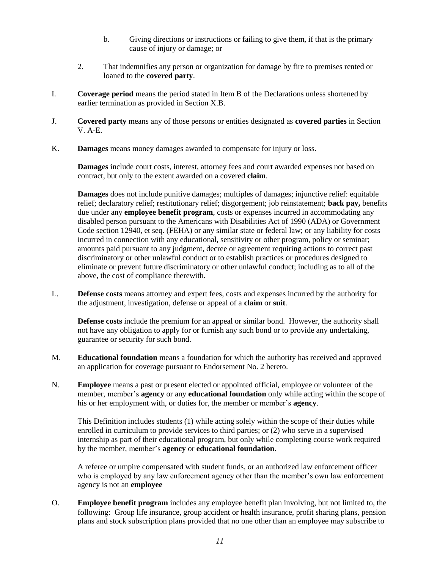- b. Giving directions or instructions or failing to give them, if that is the primary cause of injury or damage; or
- 2. That indemnifies any person or organization for damage by fire to premises rented or loaned to the **covered party**.
- I. **Coverage period** means the period stated in Item B of the Declarations unless shortened by earlier termination as provided in Section X.B.
- J. **Covered party** means any of those persons or entities designated as **covered parties** in Section V. A-E.
- K. **Damages** means money damages awarded to compensate for injury or loss.

**Damages** include court costs, interest, attorney fees and court awarded expenses not based on contract, but only to the extent awarded on a covered **claim**.

**Damages** does not include punitive damages; multiples of damages; injunctive relief: equitable relief; declaratory relief; restitutionary relief; disgorgement; job reinstatement; **back pay,** benefits due under any **employee benefit program**, costs or expenses incurred in accommodating any disabled person pursuant to the Americans with Disabilities Act of 1990 (ADA) or Government Code section 12940, et seq. (FEHA) or any similar state or federal law; or any liability for costs incurred in connection with any educational, sensitivity or other program, policy or seminar; amounts paid pursuant to any judgment, decree or agreement requiring actions to correct past discriminatory or other unlawful conduct or to establish practices or procedures designed to eliminate or prevent future discriminatory or other unlawful conduct; including as to all of the above, the cost of compliance therewith.

L. **Defense costs** means attorney and expert fees, costs and expenses incurred by the authority for the adjustment, investigation, defense or appeal of a **claim** or **suit**.

**Defense costs** include the premium for an appeal or similar bond. However, the authority shall not have any obligation to apply for or furnish any such bond or to provide any undertaking, guarantee or security for such bond.

- M. **Educational foundation** means a foundation for which the authority has received and approved an application for coverage pursuant to Endorsement No. 2 hereto.
- N. **Employee** means a past or present elected or appointed official, employee or volunteer of the member, member's **agency** or any **educational foundation** only while acting within the scope of his or her employment with, or duties for, the member or member's **agency**.

This Definition includes students (1) while acting solely within the scope of their duties while enrolled in curriculum to provide services to third parties; or (2) who serve in a supervised internship as part of their educational program, but only while completing course work required by the member, member's **agency** or **educational foundation**.

A referee or umpire compensated with student funds, or an authorized law enforcement officer who is employed by any law enforcement agency other than the member's own law enforcement agency is not an **employee**

O. **Employee benefit program** includes any employee benefit plan involving, but not limited to, the following: Group life insurance, group accident or health insurance, profit sharing plans, pension plans and stock subscription plans provided that no one other than an employee may subscribe to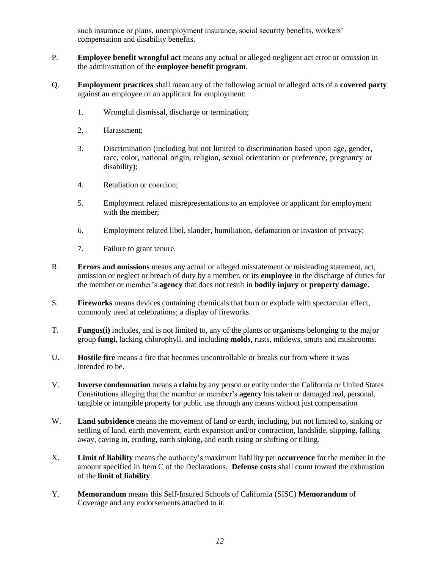such insurance or plans, unemployment insurance, social security benefits, workers' compensation and disability benefits.

- P. **Employee benefit wrongful act** means any actual or alleged negligent act error or omission in the administration of the **employee benefit program**.
- Q. **Employment practices** shall mean any of the following actual or alleged acts of a **covered party** against an employee or an applicant for employment:
	- 1. Wrongful dismissal, discharge or termination;
	- 2. Harassment;
	- 3. Discrimination (including but not limited to discrimination based upon age, gender, race, color, national origin, religion, sexual orientation or preference, pregnancy or disability);
	- 4. Retaliation or coercion;
	- 5. Employment related misrepresentations to an employee or applicant for employment with the member;
	- 6. Employment related libel, slander, humiliation, defamation or invasion of privacy;
	- 7. Failure to grant tenure.
- R. **Errors and omissions** means any actual or alleged misstatement or misleading statement, act, omission or neglect or breach of duty by a member, or its **employee** in the discharge of duties for the member or member's **agency** that does not result in **bodily injury** or **property damage.**
- S. **Fireworks** means devices containing chemicals that burn or explode with spectacular effect, commonly used at celebrations; a display of fireworks.
- T. **Fungus(i)** includes, and is not limited to, any of the plants or organisms belonging to the major group **fungi**, lacking chlorophyll, and including **molds,** rusts, mildews, smuts and mushrooms.
- U. **Hostile fire** means a fire that becomes uncontrollable or breaks out from where it was intended to be.
- V. **Inverse condemnation** means a **claim** by any person or entity under the California or United States Constitutions alleging that the member or member's **agency** has taken or damaged real, personal, tangible or intangible property for public use through any means without just compensation
- W. **Land subsidence** means the movement of land or earth, including, but not limited to, sinking or settling of land, earth movement, earth expansion and/or contraction, landslide, slipping, falling away, caving in, eroding, earth sinking, and earth rising or shifting or tilting.
- X. **Limit of liability** means the authority's maximum liability per **occurrence** for the member in the amount specified in Item C of the Declarations. **Defense costs** shall count toward the exhaustion of the **limit of liability**.
- Y. **Memorandum** means this Self-Insured Schools of California (SISC) **Memorandum** of Coverage and any endorsements attached to it.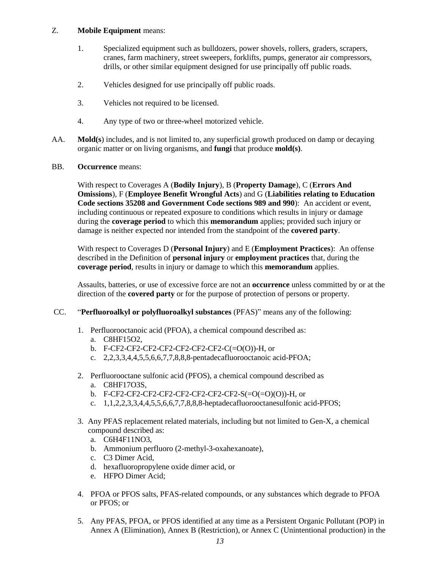### Z. **Mobile Equipment** means:

- 1. Specialized equipment such as bulldozers, power shovels, rollers, graders, scrapers, cranes, farm machinery, street sweepers, forklifts, pumps, generator air compressors, drills, or other similar equipment designed for use principally off public roads.
- 2. Vehicles designed for use principally off public roads.
- 3. Vehicles not required to be licensed.
- 4. Any type of two or three-wheel motorized vehicle.
- AA. **Mold(s**) includes, and is not limited to, any superficial growth produced on damp or decaying organic matter or on living organisms, and **fungi** that produce **mold(s)**.
- BB. **Occurrence** means:

With respect to Coverages A (**Bodily Injury**), B (**Property Damage**), C (**Errors And Omissions**), F (**Employee Benefit Wrongful Acts**) and G (**Liabilities relating to Education Code sections 35208 and Government Code sections 989 and 990**): An accident or event, including continuous or repeated exposure to conditions which results in injury or damage during the **coverage period** to which this **memorandum** applies; provided such injury or damage is neither expected nor intended from the standpoint of the **covered party**.

With respect to Coverages D (**Personal Injury**) and E (**Employment Practices**): An offense described in the Definition of **personal injury** or **employment practices** that, during the **coverage period**, results in injury or damage to which this **memorandum** applies.

Assaults, batteries, or use of excessive force are not an **occurrence** unless committed by or at the direction of the **covered party** or for the purpose of protection of persons or property.

### CC. "**Perfluoroalkyl or polyfluoroalkyl substances** (PFAS)" means any of the following:

- 1. Perfluorooctanoic acid (PFOA), a chemical compound described as:
	- a. C8HF15O2,
	- b. F-CF2-CF2-CF2-CF2-CF2-CF2-CF2-C(=O(O))-H, or
	- c. 2,2,3,3,4,4,5,5,6,6,7,7,8,8,8-pentadecafluorooctanoic acid-PFOA;
- 2. Perfluorooctane sulfonic acid (PFOS), a chemical compound described as
	- a. C8HF17O3S,
	- b. F-CF2-CF2-CF2-CF2-CF2-CF2-CF2-CF2-S(=O(=O)(O))-H, or
	- c. 1,1,2,2,3,3,4,4,5,5,6,6,7,7,8,8,8-heptadecafluorooctanesulfonic acid-PFOS;
- 3. Any PFAS replacement related materials, including but not limited to Gen-X, a chemical compound described as:
	- a. C6H4F11NO3,
	- b. Ammonium perfluoro (2-methyl-3-oxahexanoate),
	- c. C3 Dimer Acid,
	- d. hexafluoropropylene oxide dimer acid, or
	- e. HFPO Dimer Acid;
- 4. PFOA or PFOS salts, PFAS-related compounds, or any substances which degrade to PFOA or PFOS; or
- 5. Any PFAS, PFOA, or PFOS identified at any time as a Persistent Organic Pollutant (POP) in Annex A (Elimination), Annex B (Restriction), or Annex C (Unintentional production) in the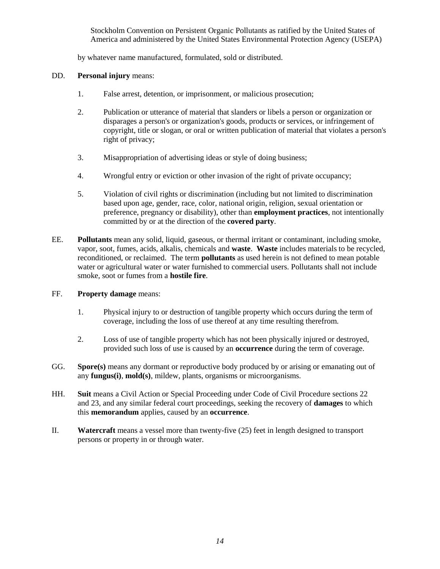Stockholm Convention on Persistent Organic Pollutants as ratified by the United States of America and administered by the United States Environmental Protection Agency (USEPA)

by whatever name manufactured, formulated, sold or distributed.

### DD. **Personal injury** means:

- 1. False arrest, detention, or imprisonment, or malicious prosecution;
- 2. Publication or utterance of material that slanders or libels a person or organization or disparages a person's or organization's goods, products or services, or infringement of copyright, title or slogan, or oral or written publication of material that violates a person's right of privacy;
- 3. Misappropriation of advertising ideas or style of doing business;
- 4. Wrongful entry or eviction or other invasion of the right of private occupancy;
- 5. Violation of civil rights or discrimination (including but not limited to discrimination based upon age, gender, race, color, national origin, religion, sexual orientation or preference, pregnancy or disability), other than **employment practices**, not intentionally committed by or at the direction of the **covered party**.
- EE. **Pollutants** mean any solid, liquid, gaseous, or thermal irritant or contaminant, including smoke, vapor, soot, fumes, acids, alkalis, chemicals and **waste**. **Waste** includes materials to be recycled, reconditioned, or reclaimed. The term **pollutants** as used herein is not defined to mean potable water or agricultural water or water furnished to commercial users. Pollutants shall not include smoke, soot or fumes from a **hostile fire**.

### FF. **Property damage** means:

- 1. Physical injury to or destruction of tangible property which occurs during the term of coverage, including the loss of use thereof at any time resulting therefrom.
- 2. Loss of use of tangible property which has not been physically injured or destroyed, provided such loss of use is caused by an **occurrence** during the term of coverage.
- GG. **Spore(s)** means any dormant or reproductive body produced by or arising or emanating out of any **fungus(i)**, **mold(s)**, mildew, plants, organisms or microorganisms.
- HH. **Suit** means a Civil Action or Special Proceeding under Code of Civil Procedure sections 22 and 23, and any similar federal court proceedings, seeking the recovery of **damages** to which this **memorandum** applies, caused by an **occurrence**.
- II. **Watercraft** means a vessel more than twenty-five (25) feet in length designed to transport persons or property in or through water.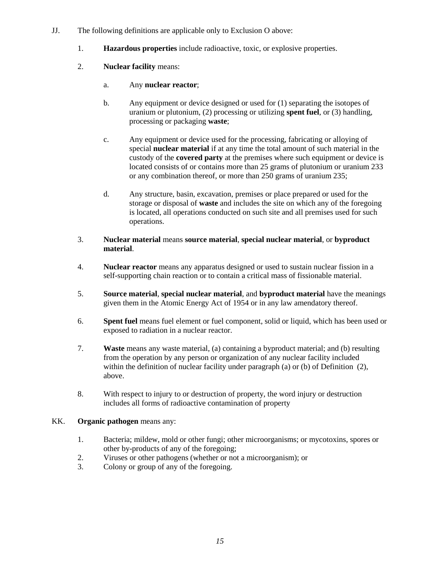- JJ. The following definitions are applicable only to Exclusion O above:
	- 1. **Hazardous properties** include radioactive, toxic, or explosive properties.
	- 2. **Nuclear facility** means:
		- a. Any **nuclear reactor**;
		- b. Any equipment or device designed or used for (1) separating the isotopes of uranium or plutonium, (2) processing or utilizing **spent fuel**, or (3) handling, processing or packaging **waste**;
		- c. Any equipment or device used for the processing, fabricating or alloying of special **nuclear material** if at any time the total amount of such material in the custody of the **covered party** at the premises where such equipment or device is located consists of or contains more than 25 grams of plutonium or uranium 233 or any combination thereof, or more than 250 grams of uranium 235;
		- d. Any structure, basin, excavation, premises or place prepared or used for the storage or disposal of **waste** and includes the site on which any of the foregoing is located, all operations conducted on such site and all premises used for such operations.
	- 3. **Nuclear material** means **source material**, **special nuclear material**, or **byproduct material**.
	- 4. **Nuclear reactor** means any apparatus designed or used to sustain nuclear fission in a self-supporting chain reaction or to contain a critical mass of fissionable material.
	- 5. **Source material**, **special nuclear material**, and **byproduct material** have the meanings given them in the Atomic Energy Act of 1954 or in any law amendatory thereof.
	- 6. **Spent fuel** means fuel element or fuel component, solid or liquid, which has been used or exposed to radiation in a nuclear reactor.
	- 7. **Waste** means any waste material, (a) containing a byproduct material; and (b) resulting from the operation by any person or organization of any nuclear facility included within the definition of nuclear facility under paragraph (a) or (b) of Definition (2), above.
	- 8. With respect to injury to or destruction of property, the word injury or destruction includes all forms of radioactive contamination of property

### KK. **Organic pathogen** means any:

- 1. Bacteria; mildew, mold or other fungi; other microorganisms; or mycotoxins, spores or other by-products of any of the foregoing;
- 2. Viruses or other pathogens (whether or not a microorganism); or
- 3. Colony or group of any of the foregoing.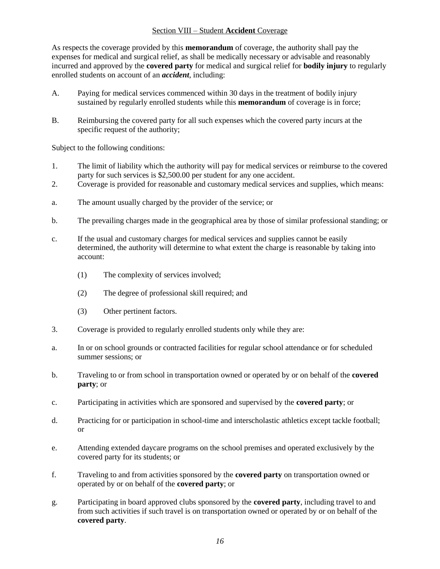### Section VIII – Student **Accident** Coverage

As respects the coverage provided by this **memorandum** of coverage, the authority shall pay the expenses for medical and surgical relief, as shall be medically necessary or advisable and reasonably incurred and approved by the **covered party** for medical and surgical relief for **bodily injury** to regularly enrolled students on account of an *accident*, including:

- A. Paying for medical services commenced within 30 days in the treatment of bodily injury sustained by regularly enrolled students while this **memorandum** of coverage is in force;
- B. Reimbursing the covered party for all such expenses which the covered party incurs at the specific request of the authority;

Subject to the following conditions:

- 1. The limit of liability which the authority will pay for medical services or reimburse to the covered party for such services is \$2,500.00 per student for any one accident.
- 2. Coverage is provided for reasonable and customary medical services and supplies, which means:
- a. The amount usually charged by the provider of the service; or
- b. The prevailing charges made in the geographical area by those of similar professional standing; or
- c. If the usual and customary charges for medical services and supplies cannot be easily determined, the authority will determine to what extent the charge is reasonable by taking into account:
	- (1) The complexity of services involved;
	- (2) The degree of professional skill required; and
	- (3) Other pertinent factors.
- 3. Coverage is provided to regularly enrolled students only while they are:
- a. In or on school grounds or contracted facilities for regular school attendance or for scheduled summer sessions; or
- b. Traveling to or from school in transportation owned or operated by or on behalf of the **covered party**; or
- c. Participating in activities which are sponsored and supervised by the **covered party**; or
- d. Practicing for or participation in school-time and interscholastic athletics except tackle football; or
- e. Attending extended daycare programs on the school premises and operated exclusively by the covered party for its students; or
- f. Traveling to and from activities sponsored by the **covered party** on transportation owned or operated by or on behalf of the **covered party**; or
- g. Participating in board approved clubs sponsored by the **covered party**, including travel to and from such activities if such travel is on transportation owned or operated by or on behalf of the **covered party**.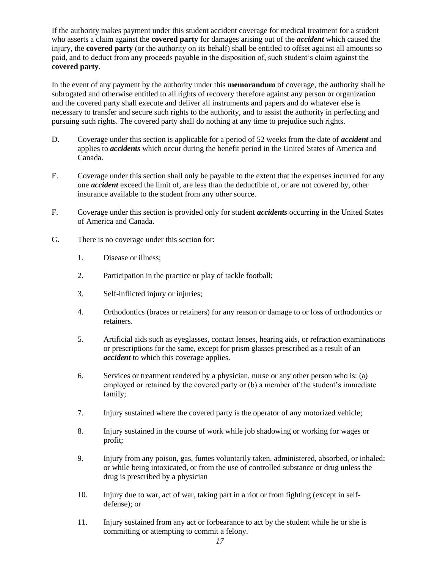If the authority makes payment under this student accident coverage for medical treatment for a student who asserts a claim against the **covered party** for damages arising out of the *accident* which caused the injury, the **covered party** (or the authority on its behalf) shall be entitled to offset against all amounts so paid, and to deduct from any proceeds payable in the disposition of, such student's claim against the **covered party**.

In the event of any payment by the authority under this **memorandum** of coverage, the authority shall be subrogated and otherwise entitled to all rights of recovery therefore against any person or organization and the covered party shall execute and deliver all instruments and papers and do whatever else is necessary to transfer and secure such rights to the authority, and to assist the authority in perfecting and pursuing such rights. The covered party shall do nothing at any time to prejudice such rights.

- D. Coverage under this section is applicable for a period of 52 weeks from the date of *accident* and applies to *accidents* which occur during the benefit period in the United States of America and Canada.
- E. Coverage under this section shall only be payable to the extent that the expenses incurred for any one *accident* exceed the limit of, are less than the deductible of, or are not covered by, other insurance available to the student from any other source.
- F. Coverage under this section is provided only for student *accidents* occurring in the United States of America and Canada.
- G. There is no coverage under this section for:
	- 1. Disease or illness;
	- 2. Participation in the practice or play of tackle football;
	- 3. Self-inflicted injury or injuries;
	- 4. Orthodontics (braces or retainers) for any reason or damage to or loss of orthodontics or retainers.
	- 5. Artificial aids such as eyeglasses, contact lenses, hearing aids, or refraction examinations or prescriptions for the same, except for prism glasses prescribed as a result of an *accident* to which this coverage applies.
	- 6. Services or treatment rendered by a physician, nurse or any other person who is: (a) employed or retained by the covered party or (b) a member of the student's immediate family;
	- 7. Injury sustained where the covered party is the operator of any motorized vehicle;
	- 8. Injury sustained in the course of work while job shadowing or working for wages or profit;
	- 9. Injury from any poison, gas, fumes voluntarily taken, administered, absorbed, or inhaled; or while being intoxicated, or from the use of controlled substance or drug unless the drug is prescribed by a physician
	- 10. Injury due to war, act of war, taking part in a riot or from fighting (except in selfdefense); or
	- 11. Injury sustained from any act or forbearance to act by the student while he or she is committing or attempting to commit a felony.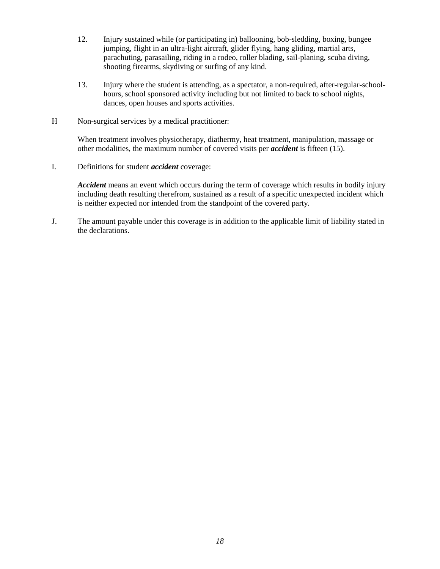- 12. Injury sustained while (or participating in) ballooning, bob-sledding, boxing, bungee jumping, flight in an ultra-light aircraft, glider flying, hang gliding, martial arts, parachuting, parasailing, riding in a rodeo, roller blading, sail-planing, scuba diving, shooting firearms, skydiving or surfing of any kind.
- 13. Injury where the student is attending, as a spectator, a non-required, after-regular-schoolhours, school sponsored activity including but not limited to back to school nights, dances, open houses and sports activities.
- H Non-surgical services by a medical practitioner:

When treatment involves physiotherapy, diathermy, heat treatment, manipulation, massage or other modalities, the maximum number of covered visits per *accident* is fifteen (15).

I. Definitions for student *accident* coverage:

*Accident* means an event which occurs during the term of coverage which results in bodily injury including death resulting therefrom, sustained as a result of a specific unexpected incident which is neither expected nor intended from the standpoint of the covered party*.*

J. The amount payable under this coverage is in addition to the applicable limit of liability stated in the declarations.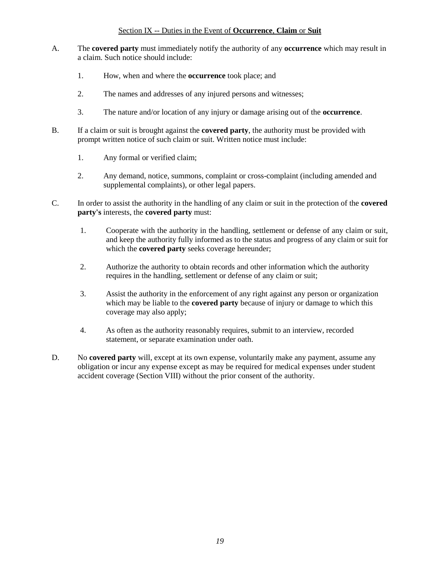### Section IX -- Duties in the Event of **Occurrence**, **Claim** or **Suit**

- A. The **covered party** must immediately notify the authority of any **occurrence** which may result in a claim. Such notice should include:
	- 1. How, when and where the **occurrence** took place; and
	- 2. The names and addresses of any injured persons and witnesses;
	- 3. The nature and/or location of any injury or damage arising out of the **occurrence**.
- B. If a claim or suit is brought against the **covered party**, the authority must be provided with prompt written notice of such claim or suit. Written notice must include:
	- 1. Any formal or verified claim;
	- 2. Any demand, notice, summons, complaint or cross-complaint (including amended and supplemental complaints), or other legal papers.
- C. In order to assist the authority in the handling of any claim or suit in the protection of the **covered party's** interests, the **covered party** must:
	- 1. Cooperate with the authority in the handling, settlement or defense of any claim or suit, and keep the authority fully informed as to the status and progress of any claim or suit for which the **covered party** seeks coverage hereunder;
	- 2. Authorize the authority to obtain records and other information which the authority requires in the handling, settlement or defense of any claim or suit;
	- 3. Assist the authority in the enforcement of any right against any person or organization which may be liable to the **covered party** because of injury or damage to which this coverage may also apply;
	- 4. As often as the authority reasonably requires, submit to an interview, recorded statement, or separate examination under oath.
- D. No **covered party** will, except at its own expense, voluntarily make any payment, assume any obligation or incur any expense except as may be required for medical expenses under student accident coverage (Section VIII) without the prior consent of the authority.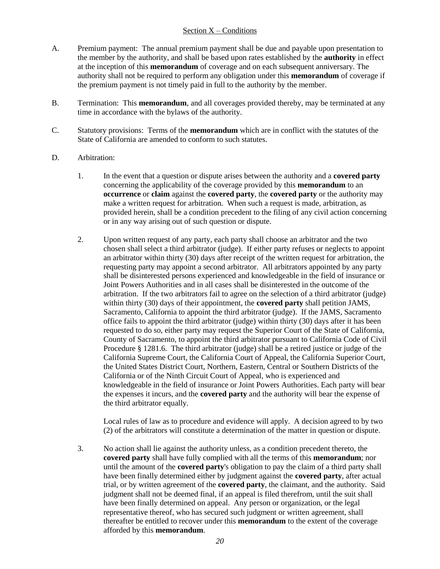### Section  $X -$  Conditions

- A. Premium payment: The annual premium payment shall be due and payable upon presentation to the member by the authority, and shall be based upon rates established by the **authority** in effect at the inception of this **memorandum** of coverage and on each subsequent anniversary. The authority shall not be required to perform any obligation under this **memorandum** of coverage if the premium payment is not timely paid in full to the authority by the member.
- B. Termination: This **memorandum**, and all coverages provided thereby, may be terminated at any time in accordance with the bylaws of the authority.
- C. Statutory provisions: Terms of the **memorandum** which are in conflict with the statutes of the State of California are amended to conform to such statutes.
- D. Arbitration:
	- 1. In the event that a question or dispute arises between the authority and a **covered party** concerning the applicability of the coverage provided by this **memorandum** to an **occurrence** or **claim** against the **covered party**, the **covered party** or the authority may make a written request for arbitration. When such a request is made, arbitration, as provided herein, shall be a condition precedent to the filing of any civil action concerning or in any way arising out of such question or dispute.
	- 2. Upon written request of any party, each party shall choose an arbitrator and the two chosen shall select a third arbitrator (judge). If either party refuses or neglects to appoint an arbitrator within thirty (30) days after receipt of the written request for arbitration, the requesting party may appoint a second arbitrator. All arbitrators appointed by any party shall be disinterested persons experienced and knowledgeable in the field of insurance or Joint Powers Authorities and in all cases shall be disinterested in the outcome of the arbitration. If the two arbitrators fail to agree on the selection of a third arbitrator (judge) within thirty (30) days of their appointment, the **covered party** shall petition JAMS, Sacramento, California to appoint the third arbitrator (judge). If the JAMS, Sacramento office fails to appoint the third arbitrator (judge) within thirty (30) days after it has been requested to do so, either party may request the Superior Court of the State of California, County of Sacramento, to appoint the third arbitrator pursuant to California Code of Civil Procedure § 1281.6. The third arbitrator (judge) shall be a retired justice or judge of the California Supreme Court, the California Court of Appeal, the California Superior Court, the United States District Court, Northern, Eastern, Central or Southern Districts of the California or of the Ninth Circuit Court of Appeal, who is experienced and knowledgeable in the field of insurance or Joint Powers Authorities. Each party will bear the expenses it incurs, and the **covered party** and the authority will bear the expense of the third arbitrator equally.

Local rules of law as to procedure and evidence will apply. A decision agreed to by two (2) of the arbitrators will constitute a determination of the matter in question or dispute.

3. No action shall lie against the authority unless, as a condition precedent thereto, the **covered party** shall have fully complied with all the terms of this **memorandum**; nor until the amount of the **covered party**'s obligation to pay the claim of a third party shall have been finally determined either by judgment against the **covered party**, after actual trial, or by written agreement of the **covered party**, the claimant, and the authority. Said judgment shall not be deemed final, if an appeal is filed therefrom, until the suit shall have been finally determined on appeal. Any person or organization, or the legal representative thereof, who has secured such judgment or written agreement, shall thereafter be entitled to recover under this **memorandum** to the extent of the coverage afforded by this **memorandum**.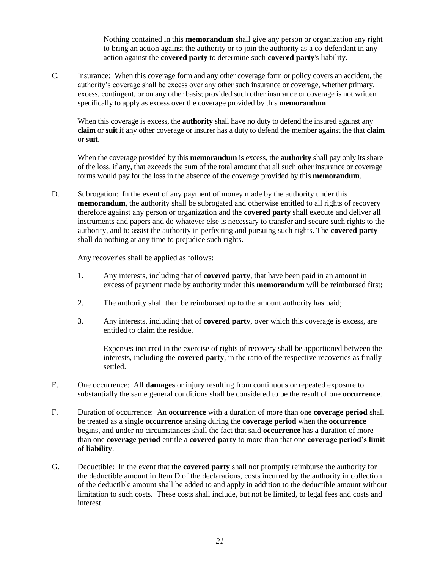Nothing contained in this **memorandum** shall give any person or organization any right to bring an action against the authority or to join the authority as a co-defendant in any action against the **covered party** to determine such **covered party**'s liability.

C. Insurance: When this coverage form and any other coverage form or policy covers an accident, the authority's coverage shall be excess over any other such insurance or coverage, whether primary, excess, contingent, or on any other basis; provided such other insurance or coverage is not written specifically to apply as excess over the coverage provided by this **memorandum**.

When this coverage is excess, the **authority** shall have no duty to defend the insured against any **claim** or **suit** if any other coverage or insurer has a duty to defend the member against the that **claim**  or **suit**.

When the coverage provided by this **memorandum** is excess, the **authority** shall pay only its share of the loss, if any, that exceeds the sum of the total amount that all such other insurance or coverage forms would pay for the loss in the absence of the coverage provided by this **memorandum**.

D. Subrogation: In the event of any payment of money made by the authority under this **memorandum**, the authority shall be subrogated and otherwise entitled to all rights of recovery therefore against any person or organization and the **covered party** shall execute and deliver all instruments and papers and do whatever else is necessary to transfer and secure such rights to the authority, and to assist the authority in perfecting and pursuing such rights. The **covered party** shall do nothing at any time to prejudice such rights.

Any recoveries shall be applied as follows:

- 1. Any interests, including that of **covered party**, that have been paid in an amount in excess of payment made by authority under this **memorandum** will be reimbursed first;
- 2. The authority shall then be reimbursed up to the amount authority has paid;
- 3. Any interests, including that of **covered party**, over which this coverage is excess, are entitled to claim the residue.

Expenses incurred in the exercise of rights of recovery shall be apportioned between the interests, including the **covered party**, in the ratio of the respective recoveries as finally settled.

- E. One occurrence: All **damages** or injury resulting from continuous or repeated exposure to substantially the same general conditions shall be considered to be the result of one **occurrence**.
- F. Duration of occurrence: An **occurrence** with a duration of more than one **coverage period** shall be treated as a single **occurrence** arising during the **coverage period** when the **occurrence**  begins, and under no circumstances shall the fact that said **occurrence** has a duration of more than one **coverage period** entitle a **covered party** to more than that one **coverage period's limit of liability**.
- G. Deductible: In the event that the **covered party** shall not promptly reimburse the authority for the deductible amount in Item D of the declarations, costs incurred by the authority in collection of the deductible amount shall be added to and apply in addition to the deductible amount without limitation to such costs. These costs shall include, but not be limited, to legal fees and costs and interest.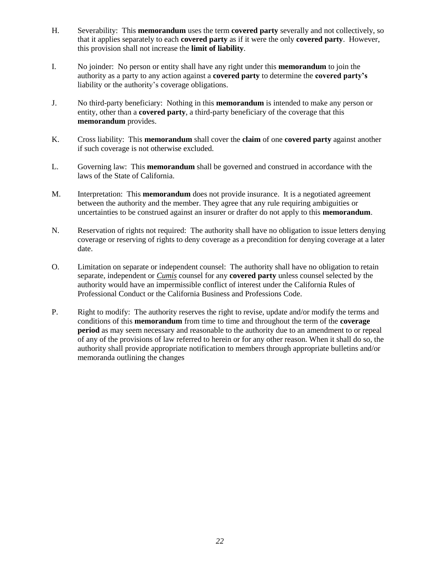- H. Severability: This **memorandum** uses the term **covered party** severally and not collectively, so that it applies separately to each **covered party** as if it were the only **covered party**. However, this provision shall not increase the **limit of liability**.
- I. No joinder: No person or entity shall have any right under this **memorandum** to join the authority as a party to any action against a **covered party** to determine the **covered party's** liability or the authority's coverage obligations.
- J. No third-party beneficiary: Nothing in this **memorandum** is intended to make any person or entity, other than a **covered party**, a third-party beneficiary of the coverage that this **memorandum** provides.
- K. Cross liability: This **memorandum** shall cover the **claim** of one **covered party** against another if such coverage is not otherwise excluded.
- L. Governing law: This **memorandum** shall be governed and construed in accordance with the laws of the State of California.
- M. Interpretation: This **memorandum** does not provide insurance. It is a negotiated agreement between the authority and the member. They agree that any rule requiring ambiguities or uncertainties to be construed against an insurer or drafter do not apply to this **memorandum**.
- N. Reservation of rights not required: The authority shall have no obligation to issue letters denying coverage or reserving of rights to deny coverage as a precondition for denying coverage at a later date.
- O. Limitation on separate or independent counsel: The authority shall have no obligation to retain separate, independent or *Cumis* counsel for any **covered party** unless counsel selected by the authority would have an impermissible conflict of interest under the California Rules of Professional Conduct or the California Business and Professions Code.
- P. Right to modify: The authority reserves the right to revise, update and/or modify the terms and conditions of this **memorandum** from time to time and throughout the term of the **coverage period** as may seem necessary and reasonable to the authority due to an amendment to or repeal of any of the provisions of law referred to herein or for any other reason. When it shall do so, the authority shall provide appropriate notification to members through appropriate bulletins and/or memoranda outlining the changes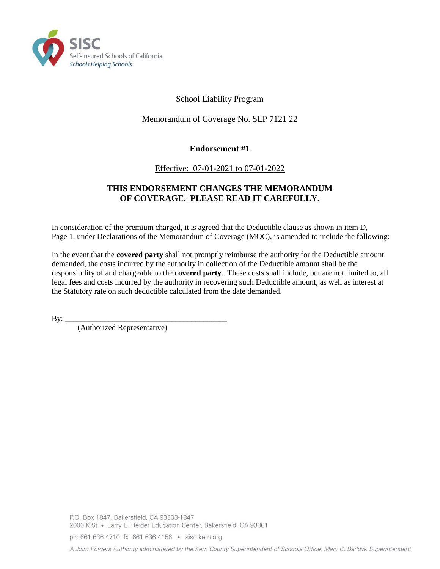

# School Liability Program

# Memorandum of Coverage No. SLP 7121 22

# **Endorsement #1**

# Effective: 07-01-2021 to 07-01-2022

### **THIS ENDORSEMENT CHANGES THE MEMORANDUM OF COVERAGE. PLEASE READ IT CAREFULLY.**

In consideration of the premium charged, it is agreed that the Deductible clause as shown in item D, Page 1, under Declarations of the Memorandum of Coverage (MOC), is amended to include the following:

In the event that the **covered party** shall not promptly reimburse the authority for the Deductible amount demanded, the costs incurred by the authority in collection of the Deductible amount shall be the responsibility of and chargeable to the **covered party**. These costs shall include, but are not limited to, all legal fees and costs incurred by the authority in recovering such Deductible amount, as well as interest at the Statutory rate on such deductible calculated from the date demanded.

 $By:$ 

(Authorized Representative)

ph: 661.636.4710 fx: 661.636.4156 · sisc.kern.org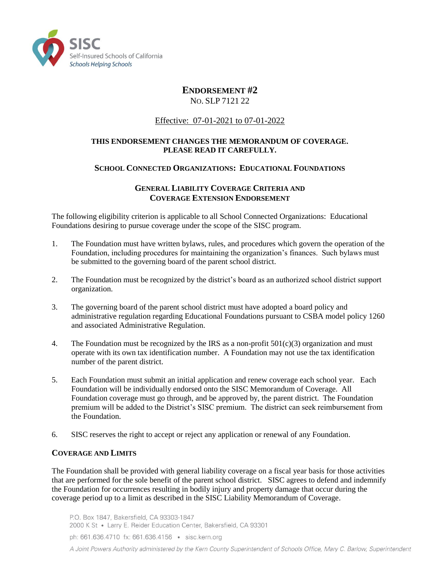

# **ENDORSEMENT #2**

NO. SLP 7121 22

# Effective: 07-01-2021 to 07-01-2022

### **THIS ENDORSEMENT CHANGES THE MEMORANDUM OF COVERAGE. PLEASE READ IT CAREFULLY.**

### **SCHOOL CONNECTED ORGANIZATIONS: EDUCATIONAL FOUNDATIONS**

### **GENERAL LIABILITY COVERAGE CRITERIA AND COVERAGE EXTENSION ENDORSEMENT**

The following eligibility criterion is applicable to all School Connected Organizations: Educational Foundations desiring to pursue coverage under the scope of the SISC program.

- 1. The Foundation must have written bylaws, rules, and procedures which govern the operation of the Foundation, including procedures for maintaining the organization's finances. Such bylaws must be submitted to the governing board of the parent school district.
- 2. The Foundation must be recognized by the district's board as an authorized school district support organization.
- 3. The governing board of the parent school district must have adopted a board policy and administrative regulation regarding Educational Foundations pursuant to CSBA model policy 1260 and associated Administrative Regulation.
- 4. The Foundation must be recognized by the IRS as a non-profit  $501(c)(3)$  organization and must operate with its own tax identification number. A Foundation may not use the tax identification number of the parent district.
- 5. Each Foundation must submit an initial application and renew coverage each school year. Each Foundation will be individually endorsed onto the SISC Memorandum of Coverage. All Foundation coverage must go through, and be approved by, the parent district. The Foundation premium will be added to the District's SISC premium. The district can seek reimbursement from the Foundation.
- 6. SISC reserves the right to accept or reject any application or renewal of any Foundation.

### **COVERAGE AND LIMITS**

The Foundation shall be provided with general liability coverage on a fiscal year basis for those activities that are performed for the sole benefit of the parent school district. SISC agrees to defend and indemnify the Foundation for occurrences resulting in bodily injury and property damage that occur during the coverage period up to a limit as described in the SISC Liability Memorandum of Coverage.

P.O. Box 1847, Bakersfield, CA 93303-1847 2000 K St · Larry E. Reider Education Center, Bakersfield, CA 93301 ph: 661.636.4710 fx: 661.636.4156 · sisc.kern.org A Joint Powers Authority administered by the Kern County Superintendent of Schools Office, Mary C. Barlow, Superintendent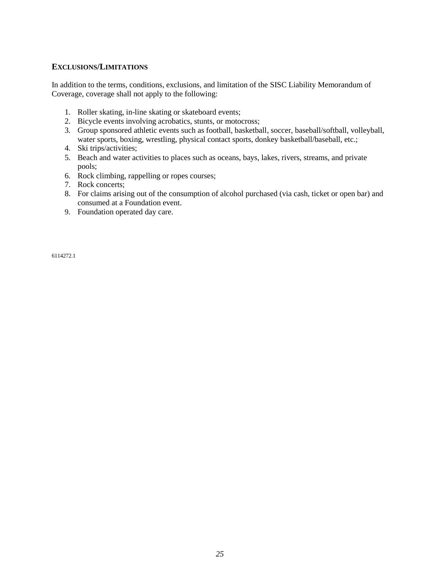### **EXCLUSIONS/LIMITATIONS**

In addition to the terms, conditions, exclusions, and limitation of the SISC Liability Memorandum of Coverage, coverage shall not apply to the following:

- 1. Roller skating, in-line skating or skateboard events;
- 2. Bicycle events involving acrobatics, stunts, or motocross;
- 3. Group sponsored athletic events such as football, basketball, soccer, baseball/softball, volleyball, water sports, boxing, wrestling, physical contact sports, donkey basketball/baseball, etc.;
- 4. Ski trips/activities;
- 5. Beach and water activities to places such as oceans, bays, lakes, rivers, streams, and private pools;
- 6. Rock climbing, rappelling or ropes courses;
- 7. Rock concerts;
- 8. For claims arising out of the consumption of alcohol purchased (via cash, ticket or open bar) and consumed at a Foundation event.
- 9. Foundation operated day care.

6114272.1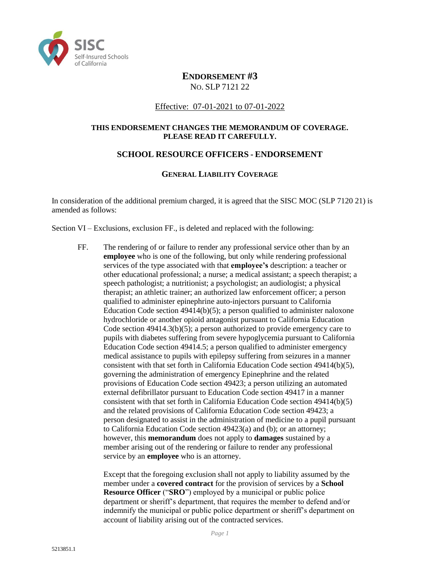

# **ENDORSEMENT #3** NO. SLP 7121 22

### Effective: 07-01-2021 to 07-01-2022

### **THIS ENDORSEMENT CHANGES THE MEMORANDUM OF COVERAGE. PLEASE READ IT CAREFULLY.**

### **SCHOOL RESOURCE OFFICERS - ENDORSEMENT**

### **GENERAL LIABILITY COVERAGE**

In consideration of the additional premium charged, it is agreed that the SISC MOC (SLP 7120 21) is amended as follows:

Section VI – Exclusions, exclusion FF., is deleted and replaced with the following:

FF. The rendering of or failure to render any professional service other than by an **employee** who is one of the following, but only while rendering professional services of the type associated with that **employee's** description: a teacher or other educational professional; a nurse; a medical assistant; a speech therapist; a speech pathologist; a nutritionist; a psychologist; an audiologist; a physical therapist; an athletic trainer; an authorized law enforcement officer; a person qualified to administer epinephrine auto-injectors pursuant to California Education Code section 49414(b)(5); a person qualified to administer naloxone hydrochloride or another opioid antagonist pursuant to California Education Code section 49414.3(b)(5); a person authorized to provide emergency care to pupils with diabetes suffering from severe hypoglycemia pursuant to California Education Code section 49414.5; a person qualified to administer emergency medical assistance to pupils with epilepsy suffering from seizures in a manner consistent with that set forth in California Education Code section 49414(b)(5), governing the administration of emergency Epinephrine and the related provisions of Education Code section 49423; a person utilizing an automated external defibrillator pursuant to Education Code section 49417 in a manner consistent with that set forth in California Education Code section 49414(b)(5) and the related provisions of California Education Code section 49423; a person designated to assist in the administration of medicine to a pupil pursuant to California Education Code section 49423(a) and (b); or an attorney; however, this **memorandum** does not apply to **damages** sustained by a member arising out of the rendering or failure to render any professional service by an **employee** who is an attorney.

Except that the foregoing exclusion shall not apply to liability assumed by the member under a **covered contract** for the provision of services by a **School Resource Officer** ("**SRO**") employed by a municipal or public police department or sheriff's department, that requires the member to defend and/or indemnify the municipal or public police department or sheriff's department on account of liability arising out of the contracted services.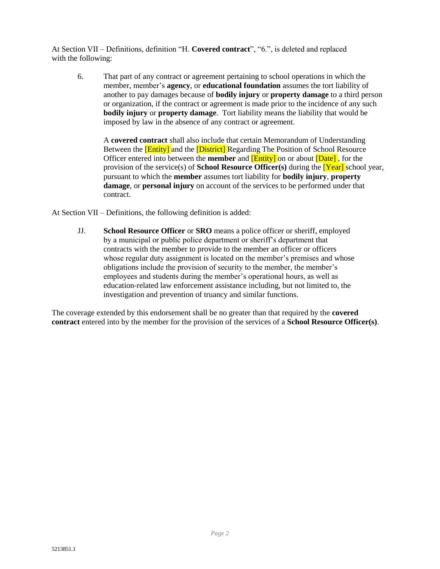At Section VII – Definitions, definition "H. **Covered contract**", "6.", is deleted and replaced with the following:

6. That part of any contract or agreement pertaining to school operations in which the member, member's **agency**, or **educational foundation** assumes the tort liability of another to pay damages because of **bodily injury** or **property damage** to a third person or organization, if the contract or agreement is made prior to the incidence of any such **bodily injury** or **property damage**. Tort liability means the liability that would be imposed by law in the absence of any contract or agreement.

A **covered contract** shall also include that certain Memorandum of Understanding Between the **[Entity]** and the **[District]** Regarding The Position of School Resource Officer entered into between the **member** and [Entity] on or about [Date] , for the provision of the service(s) of **School Resource Officer(s)** during the [Year] school year, pursuant to which the **member** assumes tort liability for **bodily injury**, **property damage**, or **personal injury** on account of the services to be performed under that contract.

At Section VII – Definitions, the following definition is added:

JJ. **School Resource Officer** or **SRO** means a police officer or sheriff, employed by a municipal or public police department or sheriff's department that contracts with the member to provide to the member an officer or officers whose regular duty assignment is located on the member's premises and whose obligations include the provision of security to the member, the member's employees and students during the member's operational hours, as well as education-related law enforcement assistance including, but not limited to, the investigation and prevention of truancy and similar functions.

The coverage extended by this endorsement shall be no greater than that required by the **covered contract** entered into by the member for the provision of the services of a **School Resource Officer(s)**.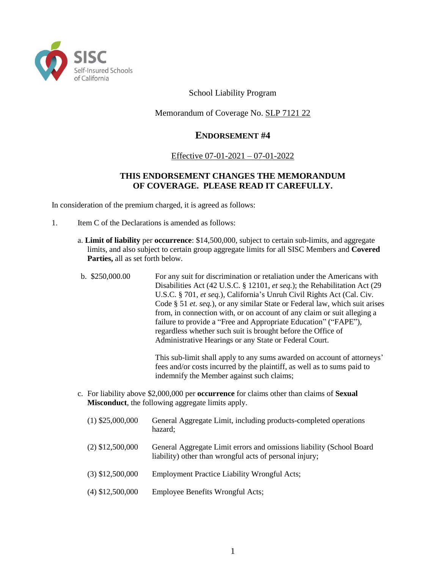

School Liability Program

Memorandum of Coverage No. SLP 7121 22

# **ENDORSEMENT #4**

### Effective 07-01-2021 – 07-01-2022

# **THIS ENDORSEMENT CHANGES THE MEMORANDUM OF COVERAGE. PLEASE READ IT CAREFULLY.**

In consideration of the premium charged, it is agreed as follows:

- 1. Item C of the Declarations is amended as follows:
	- a. **Limit of liability** per **occurrence**: \$14,500,000, subject to certain sub-limits, and aggregate limits, and also subject to certain group aggregate limits for all SISC Members and **Covered Parties,** all as set forth below.
	- b.\$250,000.00 For any suit for discrimination or retaliation under the Americans with Disabilities Act (42 U.S.C. § 12101, *et seq.*); the Rehabilitation Act (29 U.S.C. § 701, *et seq.*), California's Unruh Civil Rights Act (Cal. Civ. Code § 51 *et. seq.*), or any similar State or Federal law, which suit arises from, in connection with, or on account of any claim or suit alleging a failure to provide a "Free and Appropriate Education" ("FAPE"), regardless whether such suit is brought before the Office of Administrative Hearings or any State or Federal Court.

This sub-limit shall apply to any sums awarded on account of attorneys' fees and/or costs incurred by the plaintiff, as well as to sums paid to indemnify the Member against such claims;

- c. For liability above \$2,000,000 per **occurrence** for claims other than claims of **Sexual Misconduct**, the following aggregate limits apply.
	- (1) \$25,000,000 General Aggregate Limit, including products-completed operations hazard; (2) \$12,500,000 General Aggregate Limit errors and omissions liability (School Board liability) other than wrongful acts of personal injury; (3) \$12,500,000 Employment Practice Liability Wrongful Acts; (4) \$12,500,000 Employee Benefits Wrongful Acts;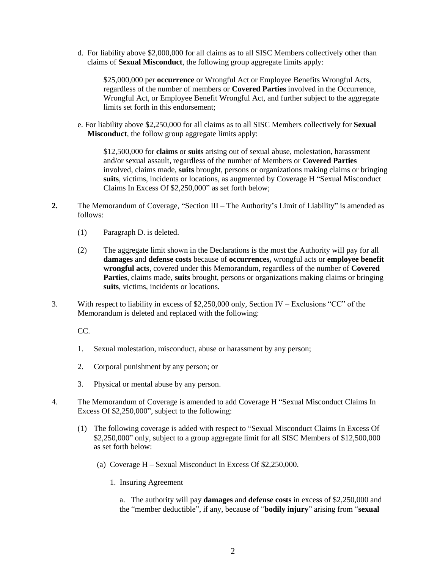d. For liability above \$2,000,000 for all claims as to all SISC Members collectively other than claims of **Sexual Misconduct**, the following group aggregate limits apply:

\$25,000,000 per **occurrence** or Wrongful Act or Employee Benefits Wrongful Acts, regardless of the number of members or **Covered Parties** involved in the Occurrence, Wrongful Act, or Employee Benefit Wrongful Act, and further subject to the aggregate limits set forth in this endorsement;

e. For liability above \$2,250,000 for all claims as to all SISC Members collectively for **Sexual Misconduct**, the follow group aggregate limits apply:

\$12,500,000 for **claims** or **suits** arising out of sexual abuse, molestation, harassment and/or sexual assault, regardless of the number of Members or **Covered Parties** involved, claims made, **suits** brought, persons or organizations making claims or bringing **suits**, victims, incidents or locations, as augmented by Coverage H "Sexual Misconduct Claims In Excess Of \$2,250,000" as set forth below;

- **2.** The Memorandum of Coverage, "Section III The Authority's Limit of Liability" is amended as follows:
	- (1) Paragraph D. is deleted.
	- (2) The aggregate limit shown in the Declarations is the most the Authority will pay for all **damages** and **defense costs** because of **occurrences,** wrongful acts or **employee benefit wrongful acts**, covered under this Memorandum, regardless of the number of **Covered Parties**, claims made, **suits** brought, persons or organizations making claims or bringing **suits**, victims, incidents or locations.
- 3. With respect to liability in excess of \$2,250,000 only, Section IV Exclusions "CC" of the Memorandum is deleted and replaced with the following:

CC.

- 1. Sexual molestation, misconduct, abuse or harassment by any person;
- 2. Corporal punishment by any person; or
- 3. Physical or mental abuse by any person.
- 4. The Memorandum of Coverage is amended to add Coverage H "Sexual Misconduct Claims In Excess Of \$2,250,000", subject to the following:
	- (1) The following coverage is added with respect to "Sexual Misconduct Claims In Excess Of \$2,250,000" only, subject to a group aggregate limit for all SISC Members of \$12,500,000 as set forth below:
		- (a) Coverage H Sexual Misconduct In Excess Of \$2,250,000.
			- 1. Insuring Agreement

a. The authority will pay **damages** and **defense costs** in excess of \$2,250,000 and the "member deductible", if any, because of "**bodily injury**" arising from "**sexual**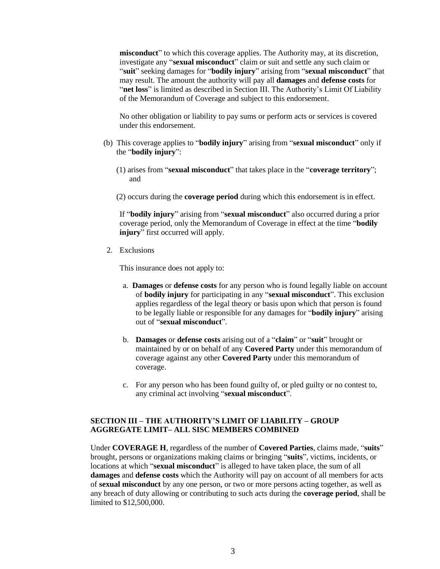**misconduct**" to which this coverage applies. The Authority may, at its discretion, investigate any "**sexual misconduct**" claim or suit and settle any such claim or "**suit**" seeking damages for "**bodily injury**" arising from "**sexual misconduct**" that may result. The amount the authority will pay all **damages** and **defense costs** for "**net loss**" is limited as described in Section III. The Authority's Limit Of Liability of the Memorandum of Coverage and subject to this endorsement.

No other obligation or liability to pay sums or perform acts or services is covered under this endorsement.

- (b) This coverage applies to "**bodily injury**" arising from "**sexual misconduct**" only if the "**bodily injury**":
	- (1) arises from "**sexual misconduct**" that takes place in the "**coverage territory**"; and
	- (2) occurs during the **coverage period** during which this endorsement is in effect.

If "**bodily injury**" arising from "**sexual misconduct**" also occurred during a prior coverage period, only the Memorandum of Coverage in effect at the time "**bodily injury**" first occurred will apply.

2. Exclusions

This insurance does not apply to:

- a. **Damages** or **defense costs** for any person who is found legally liable on account of **bodily injury** for participating in any "**sexual misconduct**". This exclusion applies regardless of the legal theory or basis upon which that person is found to be legally liable or responsible for any damages for "**bodily injury**" arising out of "**sexual misconduct**".
- b. **Damages** or **defense costs** arising out of a "**claim**" or "**suit**" brought or maintained by or on behalf of any **Covered Party** under this memorandum of coverage against any other **Covered Party** under this memorandum of coverage.
- c. For any person who has been found guilty of, or pled guilty or no contest to, any criminal act involving "**sexual misconduct**".

#### **SECTION III – THE AUTHORITY'S LIMIT OF LIABILITY – GROUP AGGREGATE LIMIT– ALL SISC MEMBERS COMBINED**

Under **COVERAGE H**, regardless of the number of **Covered Parties**, claims made, "**suits**" brought, persons or organizations making claims or bringing "**suits**", victims, incidents, or locations at which "**sexual misconduct**" is alleged to have taken place, the sum of all **damages** and **defense costs** which the Authority will pay on account of all members for acts of **sexual misconduct** by any one person, or two or more persons acting together, as well as any breach of duty allowing or contributing to such acts during the **coverage period**, shall be limited to \$12,500,000.